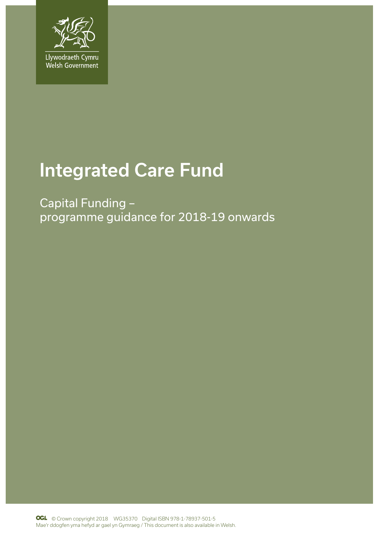

# Integrated Care Fund

Capital Funding – programme guidance for 2018-19 onwards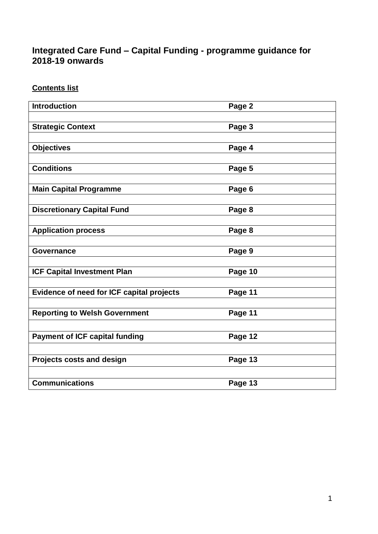# **Integrated Care Fund – Capital Funding - programme guidance for 2018-19 onwards**

**Contents list**

| <b>Introduction</b>                       | Page 2  |
|-------------------------------------------|---------|
|                                           |         |
| <b>Strategic Context</b>                  | Page 3  |
|                                           |         |
| <b>Objectives</b>                         | Page 4  |
|                                           |         |
| <b>Conditions</b>                         | Page 5  |
|                                           |         |
| <b>Main Capital Programme</b>             | Page 6  |
|                                           |         |
| <b>Discretionary Capital Fund</b>         | Page 8  |
| <b>Application process</b>                | Page 8  |
|                                           |         |
| <b>Governance</b>                         | Page 9  |
|                                           |         |
| <b>ICF Capital Investment Plan</b>        | Page 10 |
|                                           |         |
| Evidence of need for ICF capital projects | Page 11 |
|                                           |         |
| <b>Reporting to Welsh Government</b>      | Page 11 |
|                                           |         |
| <b>Payment of ICF capital funding</b>     | Page 12 |
|                                           |         |
| <b>Projects costs and design</b>          | Page 13 |
|                                           |         |
| <b>Communications</b>                     | Page 13 |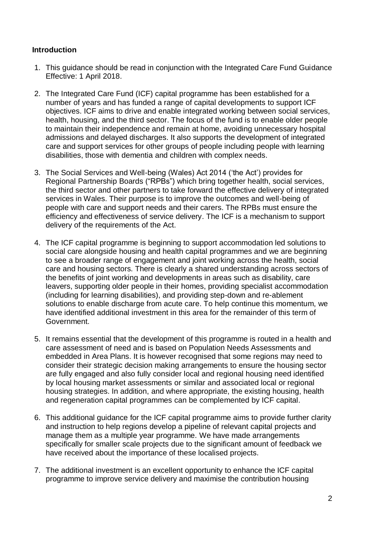## **Introduction**

- 1. This guidance should be read in conjunction with the Integrated Care Fund Guidance Effective: 1 April 2018.
- 2. The Integrated Care Fund (ICF) capital programme has been established for a number of years and has funded a range of capital developments to support ICF objectives. ICF aims to drive and enable integrated working between social services, health, housing, and the third sector. The focus of the fund is to enable older people to maintain their independence and remain at home, avoiding unnecessary hospital admissions and delayed discharges. It also supports the development of integrated care and support services for other groups of people including people with learning disabilities, those with dementia and children with complex needs.
- 3. The Social Services and Well-being (Wales) Act 2014 ('the Act') provides for Regional Partnership Boards ("RPBs") which bring together health, social services, the third sector and other partners to take forward the effective delivery of integrated services in Wales. Their purpose is to improve the outcomes and well-being of people with care and support needs and their carers. The RPBs must ensure the efficiency and effectiveness of service delivery. The ICF is a mechanism to support delivery of the requirements of the Act.
- 4. The ICF capital programme is beginning to support accommodation led solutions to social care alongside housing and health capital programmes and we are beginning to see a broader range of engagement and joint working across the health, social care and housing sectors. There is clearly a shared understanding across sectors of the benefits of joint working and developments in areas such as disability, care leavers, supporting older people in their homes, providing specialist accommodation (including for learning disabilities), and providing step-down and re-ablement solutions to enable discharge from acute care. To help continue this momentum, we have identified additional investment in this area for the remainder of this term of Government.
- 5. It remains essential that the development of this programme is routed in a health and care assessment of need and is based on Population Needs Assessments and embedded in Area Plans. It is however recognised that some regions may need to consider their strategic decision making arrangements to ensure the housing sector are fully engaged and also fully consider local and regional housing need identified by local housing market assessments or similar and associated local or regional housing strategies. In addition, and where appropriate, the existing housing, health and regeneration capital programmes can be complemented by ICF capital.
- 6. This additional guidance for the ICF capital programme aims to provide further clarity and instruction to help regions develop a pipeline of relevant capital projects and manage them as a multiple year programme. We have made arrangements specifically for smaller scale projects due to the significant amount of feedback we have received about the importance of these localised projects.
- 7. The additional investment is an excellent opportunity to enhance the ICF capital programme to improve service delivery and maximise the contribution housing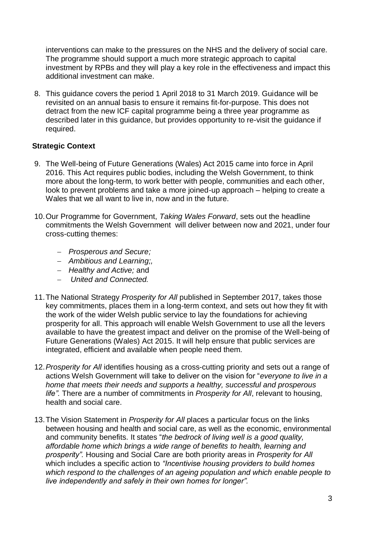interventions can make to the pressures on the NHS and the delivery of social care. The programme should support a much more strategic approach to capital investment by RPBs and they will play a key role in the effectiveness and impact this additional investment can make.

8. This guidance covers the period 1 April 2018 to 31 March 2019. Guidance will be revisited on an annual basis to ensure it remains fit-for-purpose. This does not detract from the new ICF capital programme being a three year programme as described later in this guidance, but provides opportunity to re-visit the guidance if required.

## **Strategic Context**

- 9. The Well-being of Future Generations (Wales) Act 2015 came into force in April 2016. This Act requires public bodies, including the Welsh Government, to think more about the long-term, to work better with people, communities and each other, look to prevent problems and take a more joined-up approach – helping to create a Wales that we all want to live in, now and in the future.
- 10.Our Programme for Government, *Taking Wales Forward*, sets out the headline commitments the Welsh Government will deliver between now and 2021, under four cross-cutting themes:
	- *Prosperous and Secure;*
	- *Ambitious and Learning;,*
	- *Healthy and Active;* and
	- *United and Connected.*
- 11.The National Strategy *Prosperity for All* published in September 2017, takes those key commitments, places them in a long-term context, and sets out how they fit with the work of the wider Welsh public service to lay the foundations for achieving prosperity for all. This approach will enable Welsh Government to use all the levers available to have the greatest impact and deliver on the promise of the Well-being of Future Generations (Wales) Act 2015. It will help ensure that public services are integrated, efficient and available when people need them.
- 12.*Prosperity for All* identifies housing as a cross-cutting priority and sets out a range of actions Welsh Government will take to deliver on the vision for "*everyone to live in a home that meets their needs and supports a healthy, successful and prosperous life".* There are a number of commitments in *Prosperity for All*, relevant to housing, health and social care.
- 13.The Vision Statement in *Prosperity for All* places a particular focus on the links between housing and health and social care, as well as the economic, environmental and community benefits. It states "*the bedrock of living well is a good quality, affordable home which brings a wide range of benefits to health, learning and prosperity".* Housing and Social Care are both priority areas in *Prosperity for All* which includes a specific action to *"Incentivise housing providers to build homes which respond to the challenges of an ageing population and which enable people to live independently and safely in their own homes for longer".*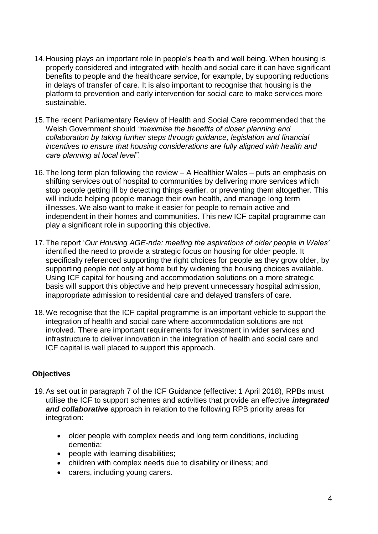- 14.Housing plays an important role in people's health and well being. When housing is properly considered and integrated with health and social care it can have significant benefits to people and the healthcare service, for example, by supporting reductions in delays of transfer of care. It is also important to recognise that housing is the platform to prevention and early intervention for social care to make services more sustainable.
- 15.The recent Parliamentary Review of Health and Social Care recommended that the Welsh Government should *"maximise the benefits of closer planning and collaboration by taking further steps through guidance, legislation and financial incentives to ensure that housing considerations are fully aligned with health and care planning at local level"*.
- 16.The long term plan following the review A Healthier Wales puts an emphasis on shifting services out of hospital to communities by delivering more services which stop people getting ill by detecting things earlier, or preventing them altogether. This will include helping people manage their own health, and manage long term illnesses. We also want to make it easier for people to remain active and independent in their homes and communities. This new ICF capital programme can play a significant role in supporting this objective.
- 17.The report '*Our Housing AGE-nda: meeting the aspirations of older people in Wales'* identified the need to provide a strategic focus on housing for older people. It specifically referenced supporting the right choices for people as they grow older, by supporting people not only at home but by widening the housing choices available. Using ICF capital for housing and accommodation solutions on a more strategic basis will support this objective and help prevent unnecessary hospital admission, inappropriate admission to residential care and delayed transfers of care.
- 18.We recognise that the ICF capital programme is an important vehicle to support the integration of health and social care where accommodation solutions are not involved. There are important requirements for investment in wider services and infrastructure to deliver innovation in the integration of health and social care and ICF capital is well placed to support this approach.

# **Objectives**

- 19.As set out in paragraph 7 of the ICF Guidance (effective: 1 April 2018), RPBs must utilise the ICF to support schemes and activities that provide an effective *integrated and collaborative* approach in relation to the following RPB priority areas for integration:
	- older people with complex needs and long term conditions, including dementia;
	- people with learning disabilities;
	- children with complex needs due to disability or illness; and
	- carers, including young carers.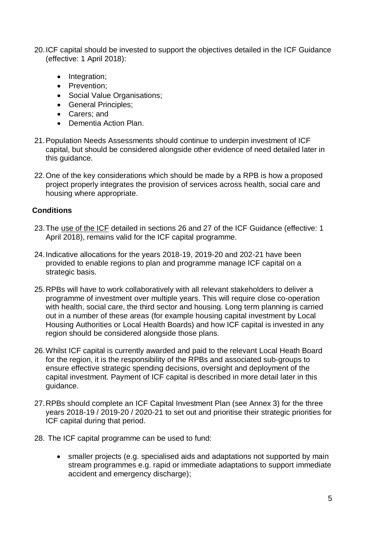- 20.ICF capital should be invested to support the objectives detailed in the ICF Guidance (effective: 1 April 2018):
	- Integration;
	- Prevention:
	- Social Value Organisations;
	- General Principles:
	- Carers: and
	- Dementia Action Plan.
- 21.Population Needs Assessments should continue to underpin investment of ICF capital, but should be considered alongside other evidence of need detailed later in this guidance.
- 22.One of the key considerations which should be made by a RPB is how a proposed project properly integrates the provision of services across health, social care and housing where appropriate.

# **Conditions**

- 23.The use of the ICF detailed in sections 26 and 27 of the ICF Guidance (effective: 1 April 2018), remains valid for the ICF capital programme.
- 24.Indicative allocations for the years 2018-19, 2019-20 and 202-21 have been provided to enable regions to plan and programme manage ICF capital on a strategic basis.
- 25.RPBs will have to work collaboratively with all relevant stakeholders to deliver a programme of investment over multiple years. This will require close co-operation with health, social care, the third sector and housing. Long term planning is carried out in a number of these areas (for example housing capital investment by Local Housing Authorities or Local Health Boards) and how ICF capital is invested in any region should be considered alongside those plans.
- 26.Whilst ICF capital is currently awarded and paid to the relevant Local Heath Board for the region, it is the responsibility of the RPBs and associated sub-groups to ensure effective strategic spending decisions, oversight and deployment of the capital investment. Payment of ICF capital is described in more detail later in this guidance.
- 27.RPBs should complete an ICF Capital Investment Plan (see Annex 3) for the three years 2018-19 / 2019-20 / 2020-21 to set out and prioritise their strategic priorities for ICF capital during that period.
- 28. The ICF capital programme can be used to fund:
	- smaller projects (e.g. specialised aids and adaptations not supported by main stream programmes e.g. rapid or immediate adaptations to support immediate accident and emergency discharge);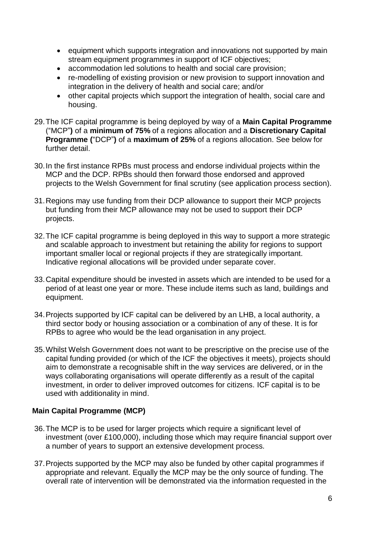- equipment which supports integration and innovations not supported by main stream equipment programmes in support of ICF objectives;
- accommodation led solutions to health and social care provision;
- re-modelling of existing provision or new provision to support innovation and integration in the delivery of health and social care; and/or
- other capital projects which support the integration of health, social care and housing.
- 29.The ICF capital programme is being deployed by way of a **Main Capital Programme** ("MCP"**)** of a **minimum of 75%** of a regions allocation and a **Discretionary Capital Programme (**"DCP"**)** of a **maximum of 25%** of a regions allocation. See below for further detail.
- 30.In the first instance RPBs must process and endorse individual projects within the MCP and the DCP. RPBs should then forward those endorsed and approved projects to the Welsh Government for final scrutiny (see application process section).
- 31.Regions may use funding from their DCP allowance to support their MCP projects but funding from their MCP allowance may not be used to support their DCP projects.
- 32.The ICF capital programme is being deployed in this way to support a more strategic and scalable approach to investment but retaining the ability for regions to support important smaller local or regional projects if they are strategically important. Indicative regional allocations will be provided under separate cover.
- 33.Capital expenditure should be invested in assets which are intended to be used for a period of at least one year or more. These include items such as land, buildings and equipment.
- 34.Projects supported by ICF capital can be delivered by an LHB, a local authority, a third sector body or housing association or a combination of any of these. It is for RPBs to agree who would be the lead organisation in any project.
- 35.Whilst Welsh Government does not want to be prescriptive on the precise use of the capital funding provided (or which of the ICF the objectives it meets), projects should aim to demonstrate a recognisable shift in the way services are delivered, or in the ways collaborating organisations will operate differently as a result of the capital investment, in order to deliver improved outcomes for citizens. ICF capital is to be used with additionality in mind.

# **Main Capital Programme (MCP)**

- 36.The MCP is to be used for larger projects which require a significant level of investment (over £100,000), including those which may require financial support over a number of years to support an extensive development process.
- 37.Projects supported by the MCP may also be funded by other capital programmes if appropriate and relevant. Equally the MCP may be the only source of funding. The overall rate of intervention will be demonstrated via the information requested in the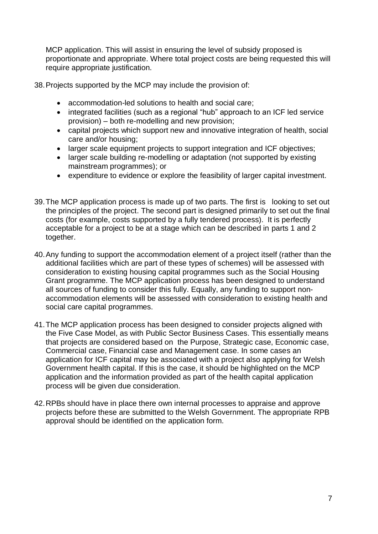MCP application. This will assist in ensuring the level of subsidy proposed is proportionate and appropriate. Where total project costs are being requested this will require appropriate justification.

38.Projects supported by the MCP may include the provision of:

- accommodation-led solutions to health and social care;
- integrated facilities (such as a regional "hub" approach to an ICF led service provision) – both re-modelling and new provision;
- capital projects which support new and innovative integration of health, social care and/or housing;
- larger scale equipment projects to support integration and ICF objectives;
- larger scale building re-modelling or adaptation (not supported by existing mainstream programmes); or
- expenditure to evidence or explore the feasibility of larger capital investment.
- 39.The MCP application process is made up of two parts. The first is looking to set out the principles of the project. The second part is designed primarily to set out the final costs (for example, costs supported by a fully tendered process). It is perfectly acceptable for a project to be at a stage which can be described in parts 1 and 2 together.
- 40.Any funding to support the accommodation element of a project itself (rather than the additional facilities which are part of these types of schemes) will be assessed with consideration to existing housing capital programmes such as the Social Housing Grant programme. The MCP application process has been designed to understand all sources of funding to consider this fully. Equally, any funding to support nonaccommodation elements will be assessed with consideration to existing health and social care capital programmes.
- 41.The MCP application process has been designed to consider projects aligned with the Five Case Model, as with Public Sector Business Cases. This essentially means that projects are considered based on the Purpose, Strategic case, Economic case, Commercial case, Financial case and Management case. In some cases an application for ICF capital may be associated with a project also applying for Welsh Government health capital. If this is the case, it should be highlighted on the MCP application and the information provided as part of the health capital application process will be given due consideration.
- 42.RPBs should have in place there own internal processes to appraise and approve projects before these are submitted to the Welsh Government. The appropriate RPB approval should be identified on the application form.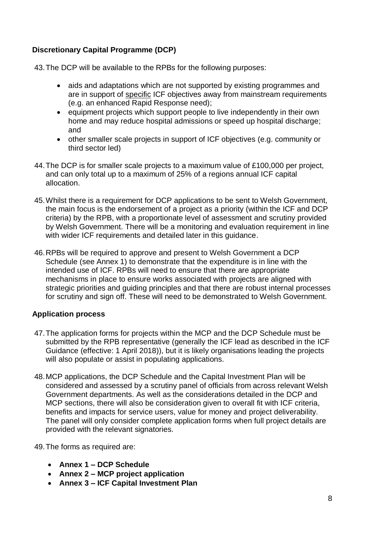# **Discretionary Capital Programme (DCP)**

43.The DCP will be available to the RPBs for the following purposes:

- aids and adaptations which are not supported by existing programmes and are in support of specific ICF objectives away from mainstream requirements (e.g. an enhanced Rapid Response need);
- equipment projects which support people to live independently in their own home and may reduce hospital admissions or speed up hospital discharge; and
- other smaller scale projects in support of ICF objectives (e.g. community or third sector led)
- 44.The DCP is for smaller scale projects to a maximum value of £100,000 per project, and can only total up to a maximum of 25% of a regions annual ICF capital allocation.
- 45.Whilst there is a requirement for DCP applications to be sent to Welsh Government, the main focus is the endorsement of a project as a priority (within the ICF and DCP criteria) by the RPB, with a proportionate level of assessment and scrutiny provided by Welsh Government. There will be a monitoring and evaluation requirement in line with wider ICF requirements and detailed later in this guidance.
- 46.RPBs will be required to approve and present to Welsh Government a DCP Schedule (see Annex 1) to demonstrate that the expenditure is in line with the intended use of ICF. RPBs will need to ensure that there are appropriate mechanisms in place to ensure works associated with projects are aligned with strategic priorities and guiding principles and that there are robust internal processes for scrutiny and sign off. These will need to be demonstrated to Welsh Government.

# **Application process**

- 47.The application forms for projects within the MCP and the DCP Schedule must be submitted by the RPB representative (generally the ICF lead as described in the ICF Guidance (effective: 1 April 2018)), but it is likely organisations leading the projects will also populate or assist in populating applications.
- 48.MCP applications, the DCP Schedule and the Capital Investment Plan will be considered and assessed by a scrutiny panel of officials from across relevant Welsh Government departments. As well as the considerations detailed in the DCP and MCP sections, there will also be consideration given to overall fit with ICF criteria, benefits and impacts for service users, value for money and project deliverability. The panel will only consider complete application forms when full project details are provided with the relevant signatories.

49.The forms as required are:

- **Annex 1 – DCP Schedule**
- **Annex 2 – MCP project application**
- **Annex 3 – ICF Capital Investment Plan**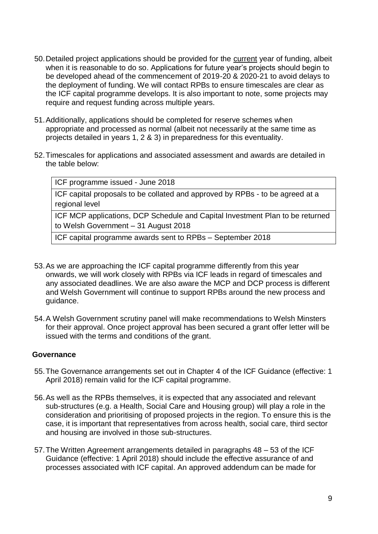- 50. Detailed project applications should be provided for the current year of funding, albeit when it is reasonable to do so. Applications for future year's projects should begin to be developed ahead of the commencement of 2019-20 & 2020-21 to avoid delays to the deployment of funding. We will contact RPBs to ensure timescales are clear as the ICF capital programme develops. It is also important to note, some projects may require and request funding across multiple years.
- 51.Additionally, applications should be completed for reserve schemes when appropriate and processed as normal (albeit not necessarily at the same time as projects detailed in years 1, 2 & 3) in preparedness for this eventuality.
- 52.Timescales for applications and associated assessment and awards are detailed in the table below:

ICF programme issued - June 2018 ICF capital proposals to be collated and approved by RPBs - to be agreed at a regional level ICF MCP applications, DCP Schedule and Capital Investment Plan to be returned to Welsh Government – 31 August 2018

ICF capital programme awards sent to RPBs – September 2018

- 53.As we are approaching the ICF capital programme differently from this year onwards, we will work closely with RPBs via ICF leads in regard of timescales and any associated deadlines. We are also aware the MCP and DCP process is different and Welsh Government will continue to support RPBs around the new process and guidance.
- 54.A Welsh Government scrutiny panel will make recommendations to Welsh Minsters for their approval. Once project approval has been secured a grant offer letter will be issued with the terms and conditions of the grant.

#### **Governance**

- 55.The Governance arrangements set out in Chapter 4 of the ICF Guidance (effective: 1 April 2018) remain valid for the ICF capital programme.
- 56.As well as the RPBs themselves, it is expected that any associated and relevant sub-structures (e.g. a Health, Social Care and Housing group) will play a role in the consideration and prioritising of proposed projects in the region. To ensure this is the case, it is important that representatives from across health, social care, third sector and housing are involved in those sub-structures.
- 57.The Written Agreement arrangements detailed in paragraphs 48 53 of the ICF Guidance (effective: 1 April 2018) should include the effective assurance of and processes associated with ICF capital. An approved addendum can be made for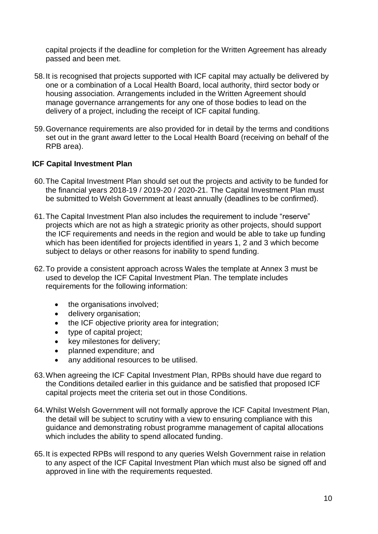capital projects if the deadline for completion for the Written Agreement has already passed and been met.

- 58.It is recognised that projects supported with ICF capital may actually be delivered by one or a combination of a Local Health Board, local authority, third sector body or housing association. Arrangements included in the Written Agreement should manage governance arrangements for any one of those bodies to lead on the delivery of a project, including the receipt of ICF capital funding.
- 59.Governance requirements are also provided for in detail by the terms and conditions set out in the grant award letter to the Local Health Board (receiving on behalf of the RPB area).

# **ICF Capital Investment Plan**

- 60.The Capital Investment Plan should set out the projects and activity to be funded for the financial years 2018-19 / 2019-20 / 2020-21. The Capital Investment Plan must be submitted to Welsh Government at least annually (deadlines to be confirmed).
- 61.The Capital Investment Plan also includes the requirement to include "reserve" projects which are not as high a strategic priority as other projects, should support the ICF requirements and needs in the region and would be able to take up funding which has been identified for projects identified in years 1, 2 and 3 which become subject to delays or other reasons for inability to spend funding.
- 62.To provide a consistent approach across Wales the template at Annex 3 must be used to develop the ICF Capital Investment Plan. The template includes requirements for the following information:
	- the organisations involved;
	- **•** delivery organisation;
	- the ICF objective priority area for integration;
	- type of capital project;
	- key milestones for delivery;
	- planned expenditure; and
	- any additional resources to be utilised.
- 63.When agreeing the ICF Capital Investment Plan, RPBs should have due regard to the Conditions detailed earlier in this guidance and be satisfied that proposed ICF capital projects meet the criteria set out in those Conditions.
- 64.Whilst Welsh Government will not formally approve the ICF Capital Investment Plan, the detail will be subject to scrutiny with a view to ensuring compliance with this guidance and demonstrating robust programme management of capital allocations which includes the ability to spend allocated funding.
- 65.It is expected RPBs will respond to any queries Welsh Government raise in relation to any aspect of the ICF Capital Investment Plan which must also be signed off and approved in line with the requirements requested.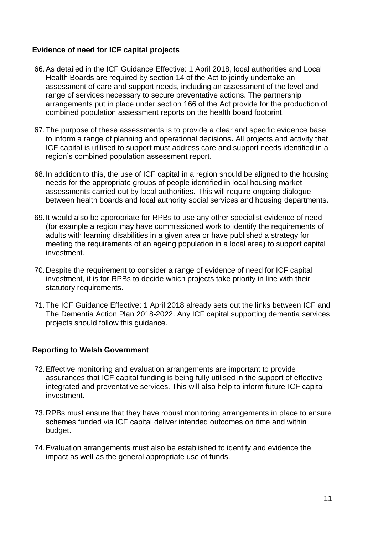# **Evidence of need for ICF capital projects**

- 66.As detailed in the ICF Guidance Effective: 1 April 2018, local authorities and Local Health Boards are required by section 14 of the Act to jointly undertake an assessment of care and support needs, including an assessment of the level and range of services necessary to secure preventative actions. The partnership arrangements put in place under section 166 of the Act provide for the production of combined population assessment reports on the health board footprint.
- 67.The purpose of these assessments is to provide a clear and specific evidence base to inform a range of planning and operational decisions**.** All projects and activity that ICF capital is utilised to support must address care and support needs identified in a region's combined population assessment report.
- 68.In addition to this, the use of ICF capital in a region should be aligned to the housing needs for the appropriate groups of people identified in local housing market assessments carried out by local authorities. This will require ongoing dialogue between health boards and local authority social services and housing departments.
- 69.It would also be appropriate for RPBs to use any other specialist evidence of need (for example a region may have commissioned work to identify the requirements of adults with learning disabilities in a given area or have published a strategy for meeting the requirements of an ageing population in a local area) to support capital investment.
- 70.Despite the requirement to consider a range of evidence of need for ICF capital investment, it is for RPBs to decide which projects take priority in line with their statutory requirements.
- 71.The ICF Guidance Effective: 1 April 2018 already sets out the links between ICF and The Dementia Action Plan 2018-2022. Any ICF capital supporting dementia services projects should follow this guidance.

#### **Reporting to Welsh Government**

- 72.Effective monitoring and evaluation arrangements are important to provide assurances that ICF capital funding is being fully utilised in the support of effective integrated and preventative services. This will also help to inform future ICF capital investment.
- 73.RPBs must ensure that they have robust monitoring arrangements in place to ensure schemes funded via ICF capital deliver intended outcomes on time and within budget.
- 74.Evaluation arrangements must also be established to identify and evidence the impact as well as the general appropriate use of funds.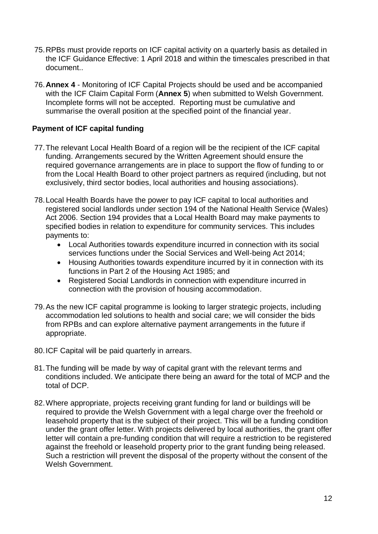- 75.RPBs must provide reports on ICF capital activity on a quarterly basis as detailed in the ICF Guidance Effective: 1 April 2018 and within the timescales prescribed in that document..
- 76.**Annex 4** Monitoring of ICF Capital Projects should be used and be accompanied with the ICF Claim Capital Form (**Annex 5**) when submitted to Welsh Government. Incomplete forms will not be accepted. Reporting must be cumulative and summarise the overall position at the specified point of the financial year.

# **Payment of ICF capital funding**

- 77.The relevant Local Health Board of a region will be the recipient of the ICF capital funding. Arrangements secured by the Written Agreement should ensure the required governance arrangements are in place to support the flow of funding to or from the Local Health Board to other project partners as required (including, but not exclusively, third sector bodies, local authorities and housing associations).
- 78.Local Health Boards have the power to pay ICF capital to local authorities and registered social landlords under section 194 of the National Health Service (Wales) Act 2006. Section 194 provides that a Local Health Board may make payments to specified bodies in relation to expenditure for community services. This includes payments to:
	- Local Authorities towards expenditure incurred in connection with its social services functions under the Social Services and Well-being Act 2014;
	- Housing Authorities towards expenditure incurred by it in connection with its functions in Part 2 of the Housing Act 1985; and
	- Registered Social Landlords in connection with expenditure incurred in connection with the provision of housing accommodation.
- 79.As the new ICF capital programme is looking to larger strategic projects, including accommodation led solutions to health and social care; we will consider the bids from RPBs and can explore alternative payment arrangements in the future if appropriate.
- 80.ICF Capital will be paid quarterly in arrears.
- 81.The funding will be made by way of capital grant with the relevant terms and conditions included. We anticipate there being an award for the total of MCP and the total of DCP.
- 82.Where appropriate, projects receiving grant funding for land or buildings will be required to provide the Welsh Government with a legal charge over the freehold or leasehold property that is the subject of their project. This will be a funding condition under the grant offer letter. With projects delivered by local authorities, the grant offer letter will contain a pre-funding condition that will require a restriction to be registered against the freehold or leasehold property prior to the grant funding being released. Such a restriction will prevent the disposal of the property without the consent of the Welsh Government.